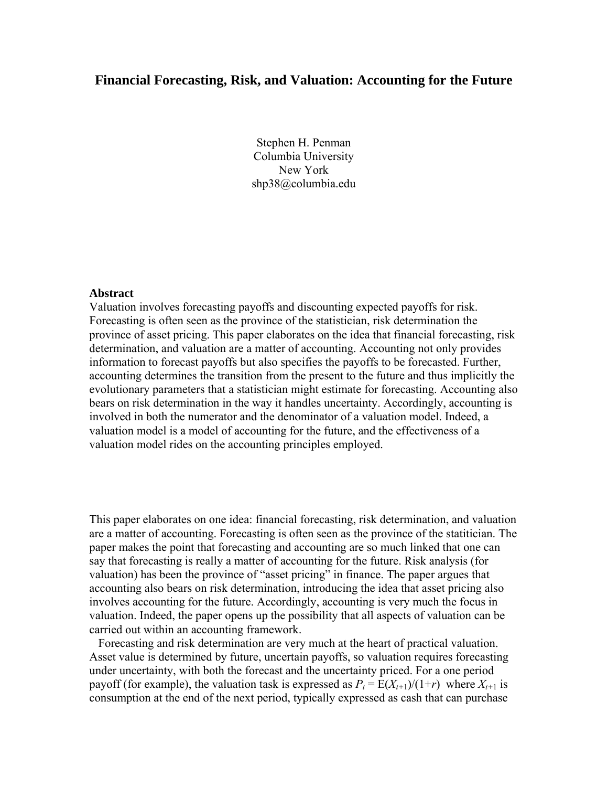# **Financial Forecasting, Risk, and Valuation: Accounting for the Future**

Stephen H. Penman Columbia University New York shp38@columbia.edu

### **Abstract**

Valuation involves forecasting payoffs and discounting expected payoffs for risk. Forecasting is often seen as the province of the statistician, risk determination the province of asset pricing. This paper elaborates on the idea that financial forecasting, risk determination, and valuation are a matter of accounting. Accounting not only provides information to forecast payoffs but also specifies the payoffs to be forecasted. Further, accounting determines the transition from the present to the future and thus implicitly the evolutionary parameters that a statistician might estimate for forecasting. Accounting also bears on risk determination in the way it handles uncertainty. Accordingly, accounting is involved in both the numerator and the denominator of a valuation model. Indeed, a valuation model is a model of accounting for the future, and the effectiveness of a valuation model rides on the accounting principles employed.

This paper elaborates on one idea: financial forecasting, risk determination, and valuation are a matter of accounting. Forecasting is often seen as the province of the statitician. The paper makes the point that forecasting and accounting are so much linked that one can say that forecasting is really a matter of accounting for the future. Risk analysis (for valuation) has been the province of "asset pricing" in finance. The paper argues that accounting also bears on risk determination, introducing the idea that asset pricing also involves accounting for the future. Accordingly, accounting is very much the focus in valuation. Indeed, the paper opens up the possibility that all aspects of valuation can be carried out within an accounting framework.

 Forecasting and risk determination are very much at the heart of practical valuation. Asset value is determined by future, uncertain payoffs, so valuation requires forecasting under uncertainty, with both the forecast and the uncertainty priced. For a one period payoff (for example), the valuation task is expressed as  $P_t = E(X_{t+1})/(1+r)$  where  $X_{t+1}$  is consumption at the end of the next period, typically expressed as cash that can purchase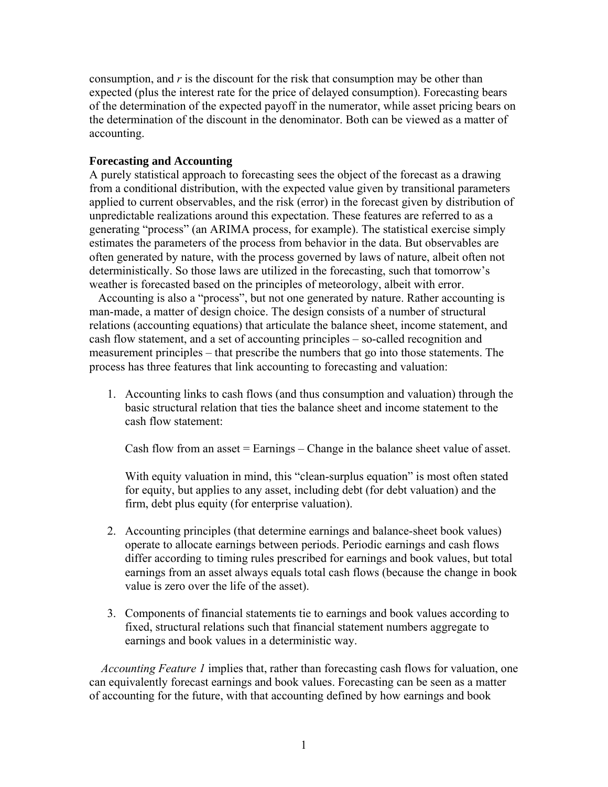consumption, and *r* is the discount for the risk that consumption may be other than expected (plus the interest rate for the price of delayed consumption). Forecasting bears of the determination of the expected payoff in the numerator, while asset pricing bears on the determination of the discount in the denominator. Both can be viewed as a matter of accounting.

## **Forecasting and Accounting**

A purely statistical approach to forecasting sees the object of the forecast as a drawing from a conditional distribution, with the expected value given by transitional parameters applied to current observables, and the risk (error) in the forecast given by distribution of unpredictable realizations around this expectation. These features are referred to as a generating "process" (an ARIMA process, for example). The statistical exercise simply estimates the parameters of the process from behavior in the data. But observables are often generated by nature, with the process governed by laws of nature, albeit often not deterministically. So those laws are utilized in the forecasting, such that tomorrow's weather is forecasted based on the principles of meteorology, albeit with error.

 Accounting is also a "process", but not one generated by nature. Rather accounting is man-made, a matter of design choice. The design consists of a number of structural relations (accounting equations) that articulate the balance sheet, income statement, and cash flow statement, and a set of accounting principles – so-called recognition and measurement principles – that prescribe the numbers that go into those statements. The process has three features that link accounting to forecasting and valuation:

1. Accounting links to cash flows (and thus consumption and valuation) through the basic structural relation that ties the balance sheet and income statement to the cash flow statement:

Cash flow from an asset  $=$  Earnings  $-$  Change in the balance sheet value of asset.

With equity valuation in mind, this "clean-surplus equation" is most often stated for equity, but applies to any asset, including debt (for debt valuation) and the firm, debt plus equity (for enterprise valuation).

- 2. Accounting principles (that determine earnings and balance-sheet book values) operate to allocate earnings between periods. Periodic earnings and cash flows differ according to timing rules prescribed for earnings and book values, but total earnings from an asset always equals total cash flows (because the change in book value is zero over the life of the asset).
- 3. Components of financial statements tie to earnings and book values according to fixed, structural relations such that financial statement numbers aggregate to earnings and book values in a deterministic way.

 *Accounting Feature 1* implies that, rather than forecasting cash flows for valuation, one can equivalently forecast earnings and book values. Forecasting can be seen as a matter of accounting for the future, with that accounting defined by how earnings and book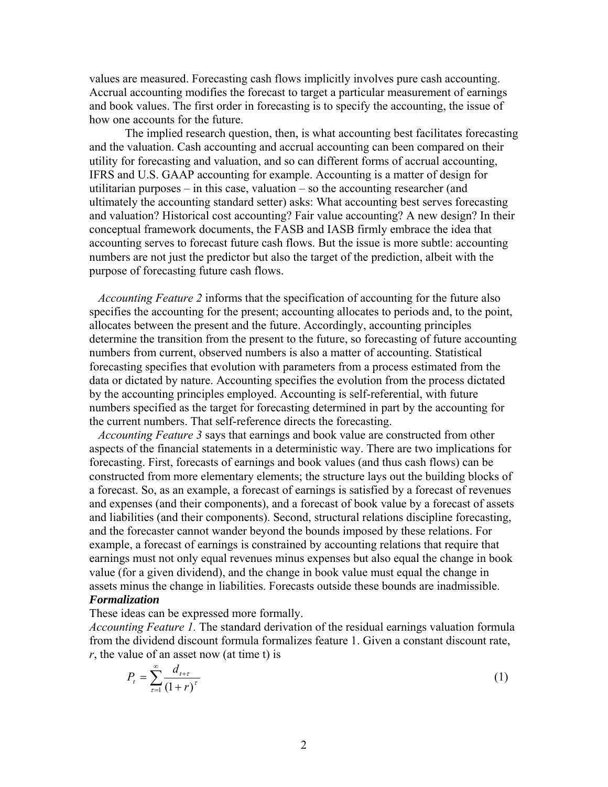values are measured. Forecasting cash flows implicitly involves pure cash accounting. Accrual accounting modifies the forecast to target a particular measurement of earnings and book values. The first order in forecasting is to specify the accounting, the issue of how one accounts for the future.

The implied research question, then, is what accounting best facilitates forecasting and the valuation. Cash accounting and accrual accounting can been compared on their utility for forecasting and valuation, and so can different forms of accrual accounting, IFRS and U.S. GAAP accounting for example. Accounting is a matter of design for utilitarian purposes – in this case, valuation – so the accounting researcher (and ultimately the accounting standard setter) asks: What accounting best serves forecasting and valuation? Historical cost accounting? Fair value accounting? A new design? In their conceptual framework documents, the FASB and IASB firmly embrace the idea that accounting serves to forecast future cash flows. But the issue is more subtle: accounting numbers are not just the predictor but also the target of the prediction, albeit with the purpose of forecasting future cash flows.

 *Accounting Feature 2* informs that the specification of accounting for the future also specifies the accounting for the present; accounting allocates to periods and, to the point, allocates between the present and the future. Accordingly, accounting principles determine the transition from the present to the future, so forecasting of future accounting numbers from current, observed numbers is also a matter of accounting. Statistical forecasting specifies that evolution with parameters from a process estimated from the data or dictated by nature. Accounting specifies the evolution from the process dictated by the accounting principles employed. Accounting is self-referential, with future numbers specified as the target for forecasting determined in part by the accounting for the current numbers. That self-reference directs the forecasting.

 *Accounting Feature 3* says that earnings and book value are constructed from other aspects of the financial statements in a deterministic way. There are two implications for forecasting. First, forecasts of earnings and book values (and thus cash flows) can be constructed from more elementary elements; the structure lays out the building blocks of a forecast. So, as an example, a forecast of earnings is satisfied by a forecast of revenues and expenses (and their components), and a forecast of book value by a forecast of assets and liabilities (and their components). Second, structural relations discipline forecasting, and the forecaster cannot wander beyond the bounds imposed by these relations. For example, a forecast of earnings is constrained by accounting relations that require that earnings must not only equal revenues minus expenses but also equal the change in book value (for a given dividend), and the change in book value must equal the change in assets minus the change in liabilities. Forecasts outside these bounds are inadmissible. *Formalization*

These ideas can be expressed more formally.

*Accounting Feature 1.* The standard derivation of the residual earnings valuation formula from the dividend discount formula formalizes feature 1. Given a constant discount rate, *r*, the value of an asset now (at time t) is

$$
P_t = \sum_{\tau=1}^{\infty} \frac{d_{t+\tau}}{\left(1+r\right)^{\tau}} \tag{1}
$$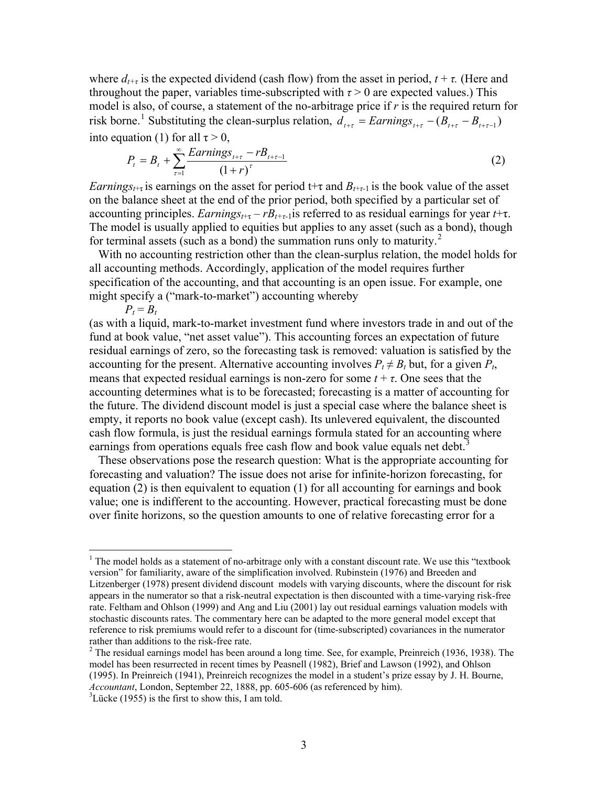<span id="page-3-0"></span>where  $d_{t+\tau}$  is the expected dividend (cash flow) from the asset in period,  $t + \tau$ . (Here and throughout the paper, variables time-subscripted with  $\tau > 0$  are expected values.) This model is also, of course, a statement of the no-arbitrage price if *r* is the required return for risk borne.<sup>[1](#page-3-0)</sup> Substituting the clean-surplus relation,  $d_{t+\tau} = Earnings_{t+\tau} - (B_{t+\tau} - B_{t+\tau-1})$ into equation (1) for all  $\tau > 0$ ,

$$
P_{t} = B_{t} + \sum_{\tau=1}^{\infty} \frac{Earning_{t+\tau} - rB_{t+\tau-1}}{(1+r)^{\tau}}
$$
 (2)

*Earnings<sub>t+τ</sub>* is earnings on the asset for period  $t+\tau$  and  $B_{t+\tau-1}$  is the book value of the asset on the balance sheet at the end of the prior period, both specified by a particular set of accounting principles. *Earnings*<sub>t+τ</sub> –  $rB_{t+\tau}$ -1<sup>is</sup> referred to as residual earnings for year t+τ. The model is usually applied to equities but applies to any asset (such as a bond), though for terminal assets (such as a bond) the summation runs only to maturity.<sup>[2](#page-3-1)</sup>

 With no accounting restriction other than the clean-surplus relation, the model holds for all accounting methods. Accordingly, application of the model requires further specification of the accounting, and that accounting is an open issue. For example, one might specify a ("mark-to-market") accounting whereby

 $P_t = B_t$ 

 $\overline{a}$ 

(as with a liquid, mark-to-market investment fund where investors trade in and out of the fund at book value, "net asset value"). This accounting forces an expectation of future residual earnings of zero, so the forecasting task is removed: valuation is satisfied by the accounting for the present. Alternative accounting involves  $P_t \neq B_t$  but, for a given  $P_t$ , means that expected residual earnings is non-zero for some *t* + *τ*. One sees that the accounting determines what is to be forecasted; forecasting is a matter of accounting for the future. The dividend discount model is just a special case where the balance sheet is empty, it reports no book value (except cash). Its unlevered equivalent, the discounted cash flow formula, is just the residual earnings formula stated for an accounting where earnings from operations equals free cash flow and book value equals net debt.

 These observations pose the research question: What is the appropriate accounting for forecasting and valuation? The issue does not arise for infinite-horizon forecasting, for equation (2) is then equivalent to equation (1) for all accounting for earnings and book value; one is indifferent to the accounting. However, practical forecasting must be done over finite horizons, so the question amounts to one of relative forecasting error for a

 $1$ <sup>1</sup> The model holds as a statement of no-arbitrage only with a constant discount rate. We use this "textbook" version" for familiarity, aware of the simplification involved. Rubinstein (1976) and Breeden and Litzenberger (1978) present dividend discount models with varying discounts, where the discount for risk appears in the numerator so that a risk-neutral expectation is then discounted with a time-varying risk-free rate. Feltham and Ohlson (1999) and Ang and Liu (2001) lay out residual earnings valuation models with stochastic discounts rates. The commentary here can be adapted to the more general model except that reference to risk premiums would refer to a discount for (time-subscripted) covariances in the numerator rather than additions to the risk-free rate.

<span id="page-3-2"></span><span id="page-3-1"></span> $2^2$  The residual earnings model has been around a long time. See, for example, Preinreich (1936, 1938). The model has been resurrected in recent times by Peasnell (1982), Brief and Lawson (1992), and Ohlson (1995). In Preinreich (1941), Preinreich recognizes the model in a student's prize essay by J. H. Bourne, *Accountant*, London, September 22, 1888, pp. 605-606 (as referenced by him).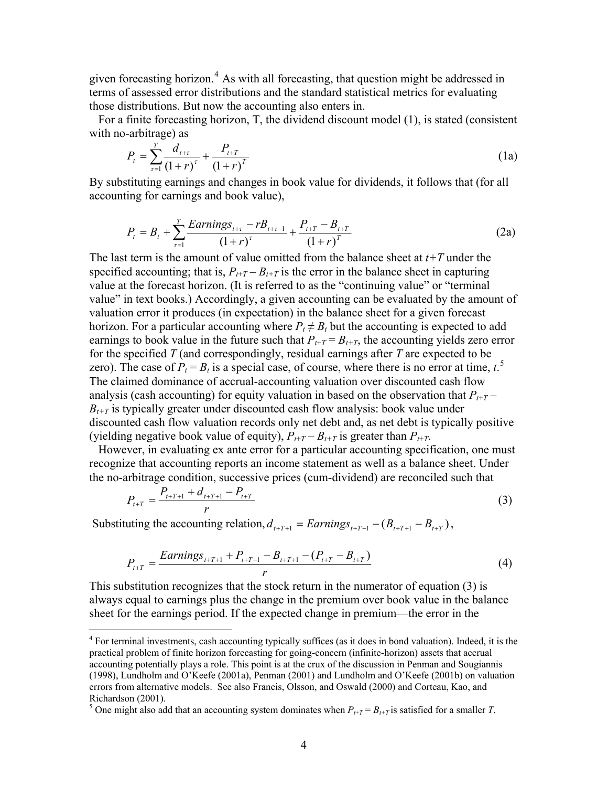given forecasting horizon.<sup>[4](#page-4-0)</sup> As with all forecasting, that question might be addressed in terms of assessed error distributions and the standard statistical metrics for evaluating those distributions. But now the accounting also enters in.

 For a finite forecasting horizon, T, the dividend discount model (1), is stated (consistent with no-arbitrage) as

$$
P_{t} = \sum_{\tau=1}^{T} \frac{d_{t+\tau}}{(1+r)^{\tau}} + \frac{P_{t+T}}{(1+r)^{T}}
$$
(1a)

By substituting earnings and changes in book value for dividends, it follows that (for all accounting for earnings and book value),

$$
P_{t} = B_{t} + \sum_{\tau=1}^{T} \frac{Earning_{t+\tau} - rB_{t+\tau-1}}{(1+r)^{\tau}} + \frac{P_{t+T} - B_{t+T}}{(1+r)^{T}}
$$
(2a)

The last term is the amount of value omitted from the balance sheet at *t+T* under the specified accounting; that is,  $P_{t+T} - B_{t+T}$  is the error in the balance sheet in capturing value at the forecast horizon. (It is referred to as the "continuing value" or "terminal value" in text books.) Accordingly, a given accounting can be evaluated by the amount of valuation error it produces (in expectation) in the balance sheet for a given forecast horizon. For a particular accounting where  $P_t \neq B_t$  but the accounting is expected to add earnings to book value in the future such that  $P_{t+T} = B_{t+T}$ , the accounting yields zero error for the specified *T* (and correspondingly, residual earnings after *T* are expected to be zero). The case of  $P_t = B_t$  is a special case, of course, where there is no error at time,  $t^2$ . The claimed dominance of accrual-accounting valuation over discounted cash flow analysis (cash accounting) for equity valuation in based on the observation that  $P_{t+T}$  $B_{t+T}$  is typically greater under discounted cash flow analysis: book value under discounted cash flow valuation records only net debt and, as net debt is typically positive (yielding negative book value of equity),  $P_{t+T} - B_{t+T}$  is greater than  $P_{t+T}$ .

 However, in evaluating ex ante error for a particular accounting specification, one must recognize that accounting reports an income statement as well as a balance sheet. Under the no-arbitrage condition, successive prices (cum-dividend) are reconciled such that

$$
P_{t+T} = \frac{P_{t+T+1} + d_{t+T+1} - P_{t+T}}{r}
$$
\n(3)

Substituting the accounting relation,  $d_{t+T+1} = Earnings_{t+T-1} - (B_{t+T+1} - B_{t+T}),$ 

 $\overline{a}$ 

$$
P_{t+T} = \frac{Earnings_{t+T+1} + P_{t+T+1} - B_{t+T+1} - (P_{t+T} - B_{t+T})}{r}
$$
(4)

This substitution recognizes that the stock return in the numerator of equation (3) is always equal to earnings plus the change in the premium over book value in the balance sheet for the earnings period. If the expected change in premium—the error in the

<span id="page-4-0"></span><sup>&</sup>lt;sup>4</sup> For terminal investments, cash accounting typically suffices (as it does in bond valuation). Indeed, it is the practical problem of finite horizon forecasting for going-concern (infinite-horizon) assets that accrual accounting potentially plays a role. This point is at the crux of the discussion in Penman and Sougiannis (1998), Lundholm and O'Keefe (2001a), Penman (2001) and Lundholm and O'Keefe (2001b) on valuation errors from alternative models. See also Francis, Olsson, and Oswald (2000) and Corteau, Kao, and Richardson (2001).

<span id="page-4-1"></span><sup>&</sup>lt;sup>5</sup> One might also add that an accounting system dominates when  $P_{t+T} = B_{t+T}$  is satisfied for a smaller *T*.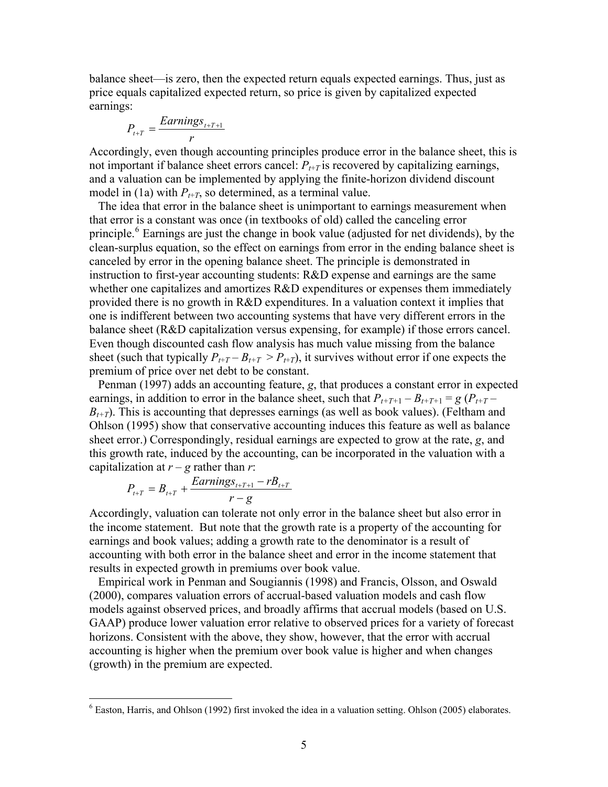balance sheet—is zero, then the expected return equals expected earnings. Thus, just as price equals capitalized expected return, so price is given by capitalized expected earnings:

$$
P_{t+T} = \frac{Earning_{t+T+1}}{r}
$$

Accordingly, even though accounting principles produce error in the balance sheet, this is not important if balance sheet errors cancel:  $P_{t+T}$  is recovered by capitalizing earnings, and a valuation can be implemented by applying the finite-horizon dividend discount model in (1a) with  $P_{t+T}$ , so determined, as a terminal value.

 The idea that error in the balance sheet is unimportant to earnings measurement when that error is a constant was once (in textbooks of old) called the canceling error principle.<sup>[6](#page-5-0)</sup> Earnings are just the change in book value (adjusted for net dividends), by the clean-surplus equation, so the effect on earnings from error in the ending balance sheet is canceled by error in the opening balance sheet. The principle is demonstrated in instruction to first-year accounting students: R&D expense and earnings are the same whether one capitalizes and amortizes R&D expenditures or expenses them immediately provided there is no growth in R&D expenditures. In a valuation context it implies that one is indifferent between two accounting systems that have very different errors in the balance sheet (R&D capitalization versus expensing, for example) if those errors cancel. Even though discounted cash flow analysis has much value missing from the balance sheet (such that typically  $P_{t+T} - B_{t+T} > P_{t+T}$ ), it survives without error if one expects the premium of price over net debt to be constant.

 Penman (1997) adds an accounting feature, *g*, that produces a constant error in expected earnings, in addition to error in the balance sheet, such that  $P_{t+T+1} - B_{t+T+1} = g(P_{t+T} - B_{t+T+1})$  $B_{t+T}$ ). This is accounting that depresses earnings (as well as book values). (Feltham and Ohlson (1995) show that conservative accounting induces this feature as well as balance sheet error.) Correspondingly, residual earnings are expected to grow at the rate, *g*, and this growth rate, induced by the accounting, can be incorporated in the valuation with a capitalization at  $r - g$  rather than  $r$ :

$$
P_{t+T} = B_{t+T} + \frac{Earnings_{t+T+1} - rB_{t+T}}{r-g}
$$

<u>.</u>

Accordingly, valuation can tolerate not only error in the balance sheet but also error in the income statement. But note that the growth rate is a property of the accounting for earnings and book values; adding a growth rate to the denominator is a result of accounting with both error in the balance sheet and error in the income statement that results in expected growth in premiums over book value.

 Empirical work in Penman and Sougiannis (1998) and Francis, Olsson, and Oswald (2000), compares valuation errors of accrual-based valuation models and cash flow models against observed prices, and broadly affirms that accrual models (based on U.S. GAAP) produce lower valuation error relative to observed prices for a variety of forecast horizons. Consistent with the above, they show, however, that the error with accrual accounting is higher when the premium over book value is higher and when changes (growth) in the premium are expected.

<span id="page-5-0"></span><sup>&</sup>lt;sup>6</sup> Easton, Harris, and Ohlson (1992) first invoked the idea in a valuation setting. Ohlson (2005) elaborates.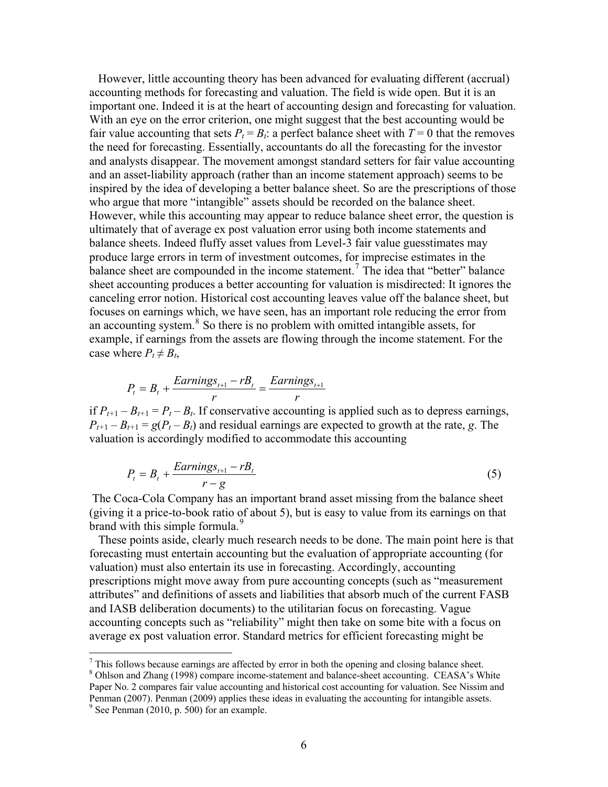However, little accounting theory has been advanced for evaluating different (accrual) accounting methods for forecasting and valuation. The field is wide open. But it is an important one. Indeed it is at the heart of accounting design and forecasting for valuation. With an eye on the error criterion, one might suggest that the best accounting would be fair value accounting that sets  $P_t = B_t$ : a perfect balance sheet with  $T = 0$  that the removes the need for forecasting. Essentially, accountants do all the forecasting for the investor and analysts disappear. The movement amongst standard setters for fair value accounting and an asset-liability approach (rather than an income statement approach) seems to be inspired by the idea of developing a better balance sheet. So are the prescriptions of those who argue that more "intangible" assets should be recorded on the balance sheet. However, while this accounting may appear to reduce balance sheet error, the question is ultimately that of average ex post valuation error using both income statements and balance sheets. Indeed fluffy asset values from Level-3 fair value guesstimates may produce large errors in term of investment outcomes, for imprecise estimates in the balance sheet are compounded in the income statement.<sup>[7](#page-6-0)</sup> The idea that "better" balance sheet accounting produces a better accounting for valuation is misdirected: It ignores the canceling error notion. Historical cost accounting leaves value off the balance sheet, but focuses on earnings which, we have seen, has an important role reducing the error from an accounting system.<sup>[8](#page-6-1)</sup> So there is no problem with omitted intangible assets, for example, if earnings from the assets are flowing through the income statement. For the case where  $P_t \neq B_t$ ,

$$
P_{t} = B_{t} + \frac{Earnings_{t+1} - rB_{t}}{r} = \frac{Earnings_{t+1}}{r}
$$

if  $P_{t+1} - B_{t+1} = P_t - B_t$ . If conservative accounting is applied such as to depress earnings,  $P_{t+1} - B_{t+1} = g(P_t - B_t)$  and residual earnings are expected to growth at the rate, *g*. The valuation is accordingly modified to accommodate this accounting

$$
P_t = B_t + \frac{Earnings_{t+1} - rB_t}{r - g} \tag{5}
$$

 The Coca-Cola Company has an important brand asset missing from the balance sheet (giving it a price-to-book ratio of about 5), but is easy to value from its earnings on that brand with this simple formula.<sup>[9](#page-6-2)</sup>

 These points aside, clearly much research needs to be done. The main point here is that forecasting must entertain accounting but the evaluation of appropriate accounting (for valuation) must also entertain its use in forecasting. Accordingly, accounting prescriptions might move away from pure accounting concepts (such as "measurement attributes" and definitions of assets and liabilities that absorb much of the current FASB and IASB deliberation documents) to the utilitarian focus on forecasting. Vague accounting concepts such as "reliability" might then take on some bite with a focus on average ex post valuation error. Standard metrics for efficient forecasting might be

 $\overline{a}$ 

This follows because earnings are affected by error in both the opening and closing balance sheet.<br><sup>8</sup> Oblean and Zhang (1008) compare income etatement and balance sheet ecocupting. CEASA's W

<span id="page-6-1"></span><span id="page-6-0"></span>Ohlson and Zhang (1998) compare income-statement and balance-sheet accounting. CEASA's White Paper No. 2 compares fair value accounting and historical cost accounting for valuation. See Nissim and Penman (2007). Penman (2009) applies these ideas in evaluating the accounting for intangible assets.

<span id="page-6-2"></span> $<sup>9</sup>$  See Penman (2010, p. 500) for an example.</sup>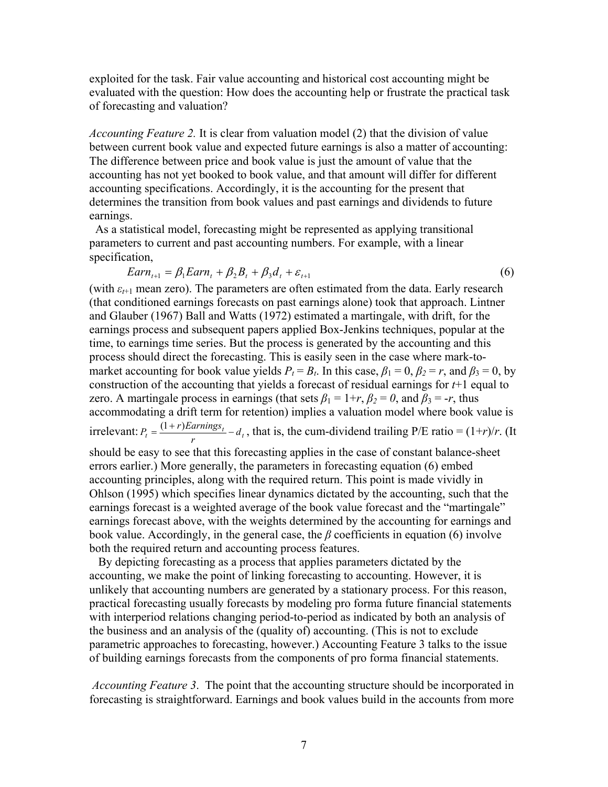exploited for the task. Fair value accounting and historical cost accounting might be evaluated with the question: How does the accounting help or frustrate the practical task of forecasting and valuation?

*Accounting Feature 2.* It is clear from valuation model (2) that the division of value between current book value and expected future earnings is also a matter of accounting: The difference between price and book value is just the amount of value that the accounting has not yet booked to book value, and that amount will differ for different accounting specifications. Accordingly, it is the accounting for the present that determines the transition from book values and past earnings and dividends to future earnings.

 As a statistical model, forecasting might be represented as applying transitional parameters to current and past accounting numbers. For example, with a linear specification,

$$
Earn_{t+1} = \beta_1 Earn_t + \beta_2B_t + \beta_3d_t + \varepsilon_{t+1}
$$
\n
$$
\tag{6}
$$

(with  $\varepsilon_{t+1}$  mean zero). The parameters are often estimated from the data. Early research (that conditioned earnings forecasts on past earnings alone) took that approach. Lintner and Glauber (1967) Ball and Watts (1972) estimated a martingale, with drift, for the earnings process and subsequent papers applied Box-Jenkins techniques, popular at the time, to earnings time series. But the process is generated by the accounting and this process should direct the forecasting. This is easily seen in the case where mark-tomarket accounting for book value yields  $P_t = B_t$ . In this case,  $\beta_1 = 0$ ,  $\beta_2 = r$ , and  $\beta_3 = 0$ , by construction of the accounting that yields a forecast of residual earnings for *t*+1 equal to zero. A martingale process in earnings (that sets  $\beta_1 = 1+r$ ,  $\beta_2 = 0$ , and  $\beta_3 = -r$ , thus accommodating a drift term for retention) implies a valuation model where book value is irrelevant:  $P_t = \frac{(1+r)Earnings_t}{r} - d_t$ , that is, the cum-dividend trailing P/E ratio =  $(1+r)/r$ . (It should be easy to see that this forecasting applies in the case of constant balance-sheet errors earlier.) More generally, the parameters in forecasting equation (6) embed accounting principles, along with the required return. This point is made vividly in Ohlson (1995) which specifies linear dynamics dictated by the accounting, such that the earnings forecast is a weighted average of the book value forecast and the "martingale" earnings forecast above, with the weights determined by the accounting for earnings and book value. Accordingly, in the general case, the  $\beta$  coefficients in equation (6) involve both the required return and accounting process features.

 By depicting forecasting as a process that applies parameters dictated by the accounting, we make the point of linking forecasting to accounting. However, it is unlikely that accounting numbers are generated by a stationary process. For this reason, practical forecasting usually forecasts by modeling pro forma future financial statements with interperiod relations changing period-to-period as indicated by both an analysis of the business and an analysis of the (quality of) accounting. (This is not to exclude parametric approaches to forecasting, however.) Accounting Feature 3 talks to the issue of building earnings forecasts from the components of pro forma financial statements.

*Accounting Feature 3*. The point that the accounting structure should be incorporated in forecasting is straightforward. Earnings and book values build in the accounts from more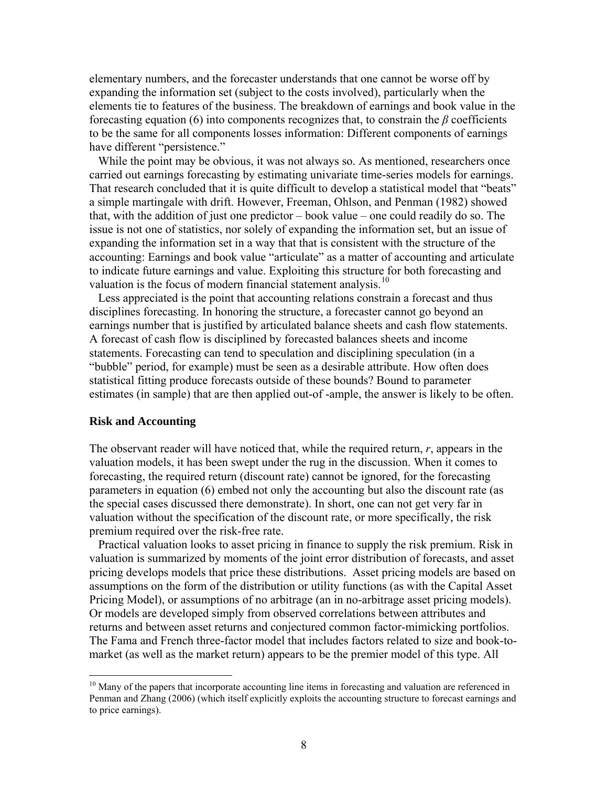elementary numbers, and the forecaster understands that one cannot be worse off by expanding the information set (subject to the costs involved), particularly when the elements tie to features of the business. The breakdown of earnings and book value in the forecasting equation (6) into components recognizes that, to constrain the  $\beta$  coefficients to be the same for all components losses information: Different components of earnings have different "persistence."

 While the point may be obvious, it was not always so. As mentioned, researchers once carried out earnings forecasting by estimating univariate time-series models for earnings. That research concluded that it is quite difficult to develop a statistical model that "beats" a simple martingale with drift. However, Freeman, Ohlson, and Penman (1982) showed that, with the addition of just one predictor – book value – one could readily do so. The issue is not one of statistics, nor solely of expanding the information set, but an issue of expanding the information set in a way that that is consistent with the structure of the accounting: Earnings and book value "articulate" as a matter of accounting and articulate to indicate future earnings and value. Exploiting this structure for both forecasting and valuation is the focus of modern financial statement analysis.<sup>[10](#page-8-0)</sup>

 Less appreciated is the point that accounting relations constrain a forecast and thus disciplines forecasting. In honoring the structure, a forecaster cannot go beyond an earnings number that is justified by articulated balance sheets and cash flow statements. A forecast of cash flow is disciplined by forecasted balances sheets and income statements. Forecasting can tend to speculation and disciplining speculation (in a "bubble" period, for example) must be seen as a desirable attribute. How often does statistical fitting produce forecasts outside of these bounds? Bound to parameter estimates (in sample) that are then applied out-of -ample, the answer is likely to be often.

### **Risk and Accounting**

 $\overline{a}$ 

The observant reader will have noticed that, while the required return, *r*, appears in the valuation models, it has been swept under the rug in the discussion. When it comes to forecasting, the required return (discount rate) cannot be ignored, for the forecasting parameters in equation (6) embed not only the accounting but also the discount rate (as the special cases discussed there demonstrate). In short, one can not get very far in valuation without the specification of the discount rate, or more specifically, the risk premium required over the risk-free rate.

 Practical valuation looks to asset pricing in finance to supply the risk premium. Risk in valuation is summarized by moments of the joint error distribution of forecasts, and asset pricing develops models that price these distributions. Asset pricing models are based on assumptions on the form of the distribution or utility functions (as with the Capital Asset Pricing Model), or assumptions of no arbitrage (an in no-arbitrage asset pricing models). Or models are developed simply from observed correlations between attributes and returns and between asset returns and conjectured common factor-mimicking portfolios. The Fama and French three-factor model that includes factors related to size and book-tomarket (as well as the market return) appears to be the premier model of this type. All

<span id="page-8-0"></span><sup>&</sup>lt;sup>10</sup> Many of the papers that incorporate accounting line items in forecasting and valuation are referenced in Penman and Zhang (2006) (which itself explicitly exploits the accounting structure to forecast earnings and to price earnings).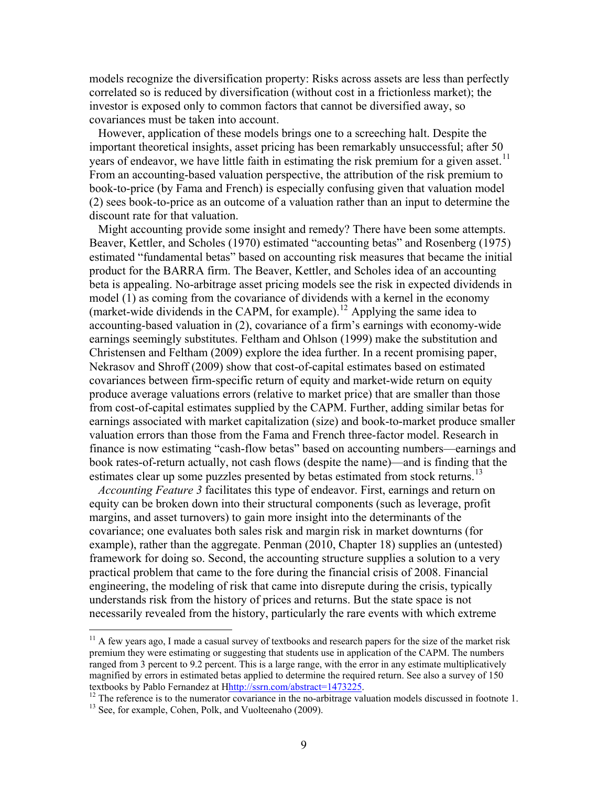models recognize the diversification property: Risks across assets are less than perfectly correlated so is reduced by diversification (without cost in a frictionless market); the investor is exposed only to common factors that cannot be diversified away, so covariances must be taken into account.

 However, application of these models brings one to a screeching halt. Despite the important theoretical insights, asset pricing has been remarkably unsuccessful; after 50 years of endeavor, we have little faith in estimating the risk premium for a given asset.<sup>[11](#page-9-0)</sup> From an accounting-based valuation perspective, the attribution of the risk premium to book-to-price (by Fama and French) is especially confusing given that valuation model (2) sees book-to-price as an outcome of a valuation rather than an input to determine the discount rate for that valuation.

 Might accounting provide some insight and remedy? There have been some attempts. Beaver, Kettler, and Scholes (1970) estimated "accounting betas" and Rosenberg (1975) estimated "fundamental betas" based on accounting risk measures that became the initial product for the BARRA firm. The Beaver, Kettler, and Scholes idea of an accounting beta is appealing. No-arbitrage asset pricing models see the risk in expected dividends in model (1) as coming from the covariance of dividends with a kernel in the economy (market-wide dividends in the CAPM, for example).<sup>[12](#page-9-1)</sup> Applying the same idea to accounting-based valuation in (2), covariance of a firm's earnings with economy-wide earnings seemingly substitutes. Feltham and Ohlson (1999) make the substitution and Christensen and Feltham (2009) explore the idea further. In a recent promising paper, Nekrasov and Shroff (2009) show that cost-of-capital estimates based on estimated covariances between firm-specific return of equity and market-wide return on equity produce average valuations errors (relative to market price) that are smaller than those from cost-of-capital estimates supplied by the CAPM. Further, adding similar betas for earnings associated with market capitalization (size) and book-to-market produce smaller valuation errors than those from the Fama and French three-factor model. Research in finance is now estimating "cash-flow betas" based on accounting numbers—earnings and book rates-of-return actually, not cash flows (despite the name)—and is finding that the estimates clear up some puzzles presented by betas estimated from stock returns.<sup>[13](#page-9-2)</sup>

 *Accounting Feature 3* facilitates this type of endeavor. First, earnings and return on equity can be broken down into their structural components (such as leverage, profit margins, and asset turnovers) to gain more insight into the determinants of the covariance; one evaluates both sales risk and margin risk in market downturns (for example), rather than the aggregate. Penman (2010, Chapter 18) supplies an (untested) framework for doing so. Second, the accounting structure supplies a solution to a very practical problem that came to the fore during the financial crisis of 2008. Financial engineering, the modeling of risk that came into disrepute during the crisis, typically understands risk from the history of prices and returns. But the state space is not necessarily revealed from the history, particularly the rare events with which extreme

<u>.</u>

<span id="page-9-0"></span> $11$  A few years ago, I made a casual survey of textbooks and research papers for the size of the market risk premium they were estimating or suggesting that students use in application of the CAPM. The numbers ranged from 3 percent to 9.2 percent. This is a large range, with the error in any estimate multiplicatively magnified by errors in estimated betas applied to determine the required return. See also a survey of 150 textbooks by Pablo Fernandez at Hhttp://ssrn.com/abstract=1473225.

<span id="page-9-2"></span><span id="page-9-1"></span><sup>&</sup>lt;sup>12</sup> The reference is to the numerator covariance in the no-arbitrage valuation models discussed in footnote 1.<br><sup>13</sup> See, for example, Cohen, Polk, and Vuolteenaho (2009).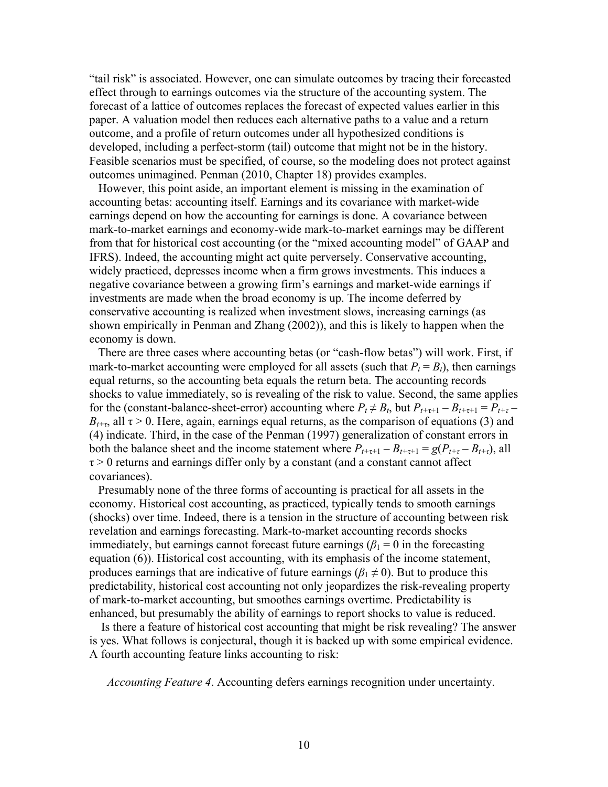"tail risk" is associated. However, one can simulate outcomes by tracing their forecasted effect through to earnings outcomes via the structure of the accounting system. The forecast of a lattice of outcomes replaces the forecast of expected values earlier in this paper. A valuation model then reduces each alternative paths to a value and a return outcome, and a profile of return outcomes under all hypothesized conditions is developed, including a perfect-storm (tail) outcome that might not be in the history. Feasible scenarios must be specified, of course, so the modeling does not protect against outcomes unimagined. Penman (2010, Chapter 18) provides examples.

 However, this point aside, an important element is missing in the examination of accounting betas: accounting itself. Earnings and its covariance with market-wide earnings depend on how the accounting for earnings is done. A covariance between mark-to-market earnings and economy-wide mark-to-market earnings may be different from that for historical cost accounting (or the "mixed accounting model" of GAAP and IFRS). Indeed, the accounting might act quite perversely. Conservative accounting, widely practiced, depresses income when a firm grows investments. This induces a negative covariance between a growing firm's earnings and market-wide earnings if investments are made when the broad economy is up. The income deferred by conservative accounting is realized when investment slows, increasing earnings (as shown empirically in Penman and Zhang (2002)), and this is likely to happen when the economy is down.

 There are three cases where accounting betas (or "cash-flow betas") will work. First, if mark-to-market accounting were employed for all assets (such that  $P_t = B_t$ ), then earnings equal returns, so the accounting beta equals the return beta. The accounting records shocks to value immediately, so is revealing of the risk to value. Second, the same applies for the (constant-balance-sheet-error) accounting where  $P_t \neq B_t$ , but  $P_{t+\tau+1} - B_{t+\tau+1} = P_{t+\tau}$  $B_{t+\tau}$ , all  $\tau > 0$ . Here, again, earnings equal returns, as the comparison of equations (3) and (4) indicate. Third, in the case of the Penman (1997) generalization of constant errors in both the balance sheet and the income statement where  $P_{t+\tau+1} - B_{t+\tau+1} = g(P_{t+\tau} - B_{t+\tau})$ , all  $\tau > 0$  returns and earnings differ only by a constant (and a constant cannot affect covariances).

 Presumably none of the three forms of accounting is practical for all assets in the economy. Historical cost accounting, as practiced, typically tends to smooth earnings (shocks) over time. Indeed, there is a tension in the structure of accounting between risk revelation and earnings forecasting. Mark-to-market accounting records shocks immediately, but earnings cannot forecast future earnings ( $\beta_1 = 0$  in the forecasting equation (6)). Historical cost accounting, with its emphasis of the income statement, produces earnings that are indicative of future earnings ( $\beta_1 \neq 0$ ). But to produce this predictability, historical cost accounting not only jeopardizes the risk-revealing property of mark-to-market accounting, but smoothes earnings overtime. Predictability is enhanced, but presumably the ability of earnings to report shocks to value is reduced.

 Is there a feature of historical cost accounting that might be risk revealing? The answer is yes. What follows is conjectural, though it is backed up with some empirical evidence. A fourth accounting feature links accounting to risk:

*Accounting Feature 4*. Accounting defers earnings recognition under uncertainty.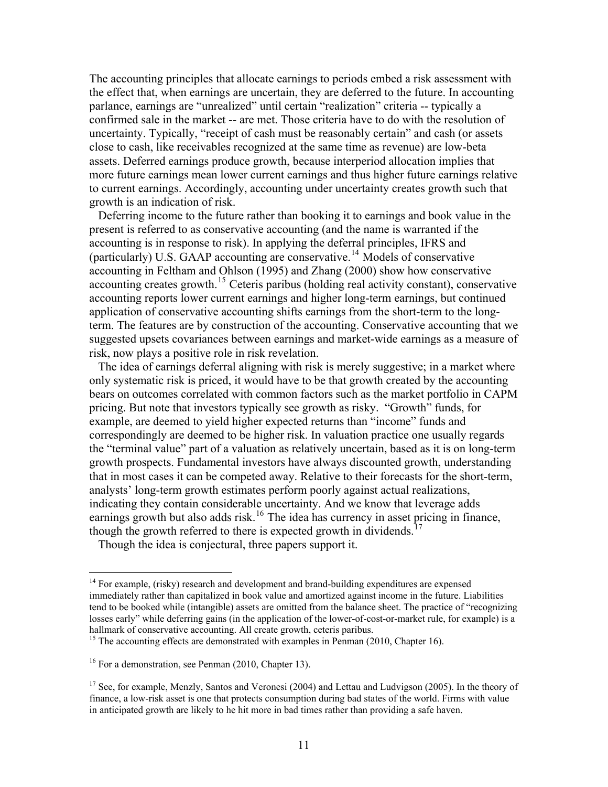The accounting principles that allocate earnings to periods embed a risk assessment with the effect that, when earnings are uncertain, they are deferred to the future. In accounting parlance, earnings are "unrealized" until certain "realization" criteria -- typically a confirmed sale in the market -- are met. Those criteria have to do with the resolution of uncertainty. Typically, "receipt of cash must be reasonably certain" and cash (or assets close to cash, like receivables recognized at the same time as revenue) are low-beta assets. Deferred earnings produce growth, because interperiod allocation implies that more future earnings mean lower current earnings and thus higher future earnings relative to current earnings. Accordingly, accounting under uncertainty creates growth such that growth is an indication of risk.

 Deferring income to the future rather than booking it to earnings and book value in the present is referred to as conservative accounting (and the name is warranted if the accounting is in response to risk). In applying the deferral principles, IFRS and (particularly) U.S. GAAP accounting are conservative.<sup>[14](#page-11-0)</sup> Models of conservative accounting in Feltham and Ohlson (1995) and Zhang (2000) show how conservative accounting creates growth.<sup>[15](#page-11-1)</sup> Ceteris paribus (holding real activity constant), conservative accounting reports lower current earnings and higher long-term earnings, but continued application of conservative accounting shifts earnings from the short-term to the longterm. The features are by construction of the accounting. Conservative accounting that we suggested upsets covariances between earnings and market-wide earnings as a measure of risk, now plays a positive role in risk revelation.

 The idea of earnings deferral aligning with risk is merely suggestive; in a market where only systematic risk is priced, it would have to be that growth created by the accounting bears on outcomes correlated with common factors such as the market portfolio in CAPM pricing. But note that investors typically see growth as risky. "Growth" funds, for example, are deemed to yield higher expected returns than "income" funds and correspondingly are deemed to be higher risk. In valuation practice one usually regards the "terminal value" part of a valuation as relatively uncertain, based as it is on long-term growth prospects. Fundamental investors have always discounted growth, understanding that in most cases it can be competed away. Relative to their forecasts for the short-term, analysts' long-term growth estimates perform poorly against actual realizations, indicating they contain considerable uncertainty. And we know that leverage adds earnings growth but also adds risk.<sup>[16](#page-11-2)</sup> The idea has currency in asset pricing in finance, though the growth referred to there is expected growth in dividends.<sup>[17](#page-11-3)</sup>

Though the idea is conjectural, three papers support it.

 $\overline{a}$ 

<span id="page-11-0"></span> $14$  For example, (risky) research and development and brand-building expenditures are expensed immediately rather than capitalized in book value and amortized against income in the future. Liabilities tend to be booked while (intangible) assets are omitted from the balance sheet. The practice of "recognizing losses early" while deferring gains (in the application of the lower-of-cost-or-market rule, for example) is a hallmark of conservative accounting. All create growth, ceteris paribus.<br><sup>15</sup> The accounting effects are demonstrated with examples in Penman (2010, Chapter 16).

<span id="page-11-1"></span>

<span id="page-11-2"></span><sup>&</sup>lt;sup>16</sup> For a demonstration, see Penman (2010, Chapter 13).

<span id="page-11-3"></span><sup>&</sup>lt;sup>17</sup> See, for example, Menzly, Santos and Veronesi (2004) and Lettau and Ludvigson (2005). In the theory of finance, a low-risk asset is one that protects consumption during bad states of the world. Firms with value in anticipated growth are likely to he hit more in bad times rather than providing a safe haven.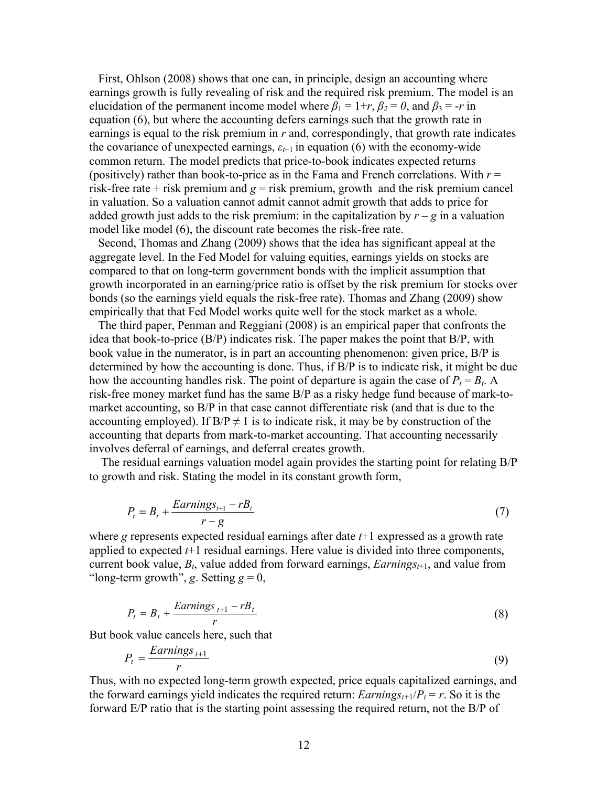First, Ohlson (2008) shows that one can, in principle, design an accounting where earnings growth is fully revealing of risk and the required risk premium. The model is an elucidation of the permanent income model where  $\beta_1 = 1+r$ ,  $\beta_2 = 0$ , and  $\beta_3 = -r$  in equation (6), but where the accounting defers earnings such that the growth rate in earnings is equal to the risk premium in *r* and, correspondingly, that growth rate indicates the covariance of unexpected earnings,  $\varepsilon_{t+1}$  in equation (6) with the economy-wide common return. The model predicts that price-to-book indicates expected returns (positively) rather than book-to-price as in the Fama and French correlations. With  $r =$ risk-free rate  $+$  risk premium and  $g =$  risk premium, growth and the risk premium cancel in valuation. So a valuation cannot admit cannot admit growth that adds to price for added growth just adds to the risk premium: in the capitalization by  $r - g$  in a valuation model like model (6), the discount rate becomes the risk-free rate.

 Second, Thomas and Zhang (2009) shows that the idea has significant appeal at the aggregate level. In the Fed Model for valuing equities, earnings yields on stocks are compared to that on long-term government bonds with the implicit assumption that growth incorporated in an earning/price ratio is offset by the risk premium for stocks over bonds (so the earnings yield equals the risk-free rate). Thomas and Zhang (2009) show empirically that that Fed Model works quite well for the stock market as a whole.

 The third paper, Penman and Reggiani (2008) is an empirical paper that confronts the idea that book-to-price (B/P) indicates risk. The paper makes the point that B/P, with book value in the numerator, is in part an accounting phenomenon: given price, B/P is determined by how the accounting is done. Thus, if B/P is to indicate risk, it might be due how the accounting handles risk. The point of departure is again the case of  $P_t = B_t$ . A risk-free money market fund has the same B/P as a risky hedge fund because of mark-tomarket accounting, so B/P in that case cannot differentiate risk (and that is due to the accounting employed). If  $B/P \neq 1$  is to indicate risk, it may be by construction of the accounting that departs from mark-to-market accounting. That accounting necessarily involves deferral of earnings, and deferral creates growth.

 The residual earnings valuation model again provides the starting point for relating B/P to growth and risk. Stating the model in its constant growth form,

$$
P_t = B_t + \frac{Earnings_{t+1} - rB_t}{r - g} \tag{7}
$$

where *g* represents expected residual earnings after date *t*+1 expressed as a growth rate applied to expected *t*+1 residual earnings. Here value is divided into three components, current book value,  $B_t$ , value added from forward earnings,  $\textit{Earnings}_{t+1}$ , and value from "long-term growth",  $g$ . Setting  $g = 0$ ,

$$
P_t = B_t + \frac{Earnings_{t+1} - rB_t}{r}
$$
\n<sup>(8)</sup>

But book value cancels here, such that

$$
P_t = \frac{Earnings_{t+1}}{r} \tag{9}
$$

Thus, with no expected long-term growth expected, price equals capitalized earnings, and the forward earnings yield indicates the required return:  $Earning_{t+1}/P_t = r$ . So it is the forward E/P ratio that is the starting point assessing the required return, not the B/P of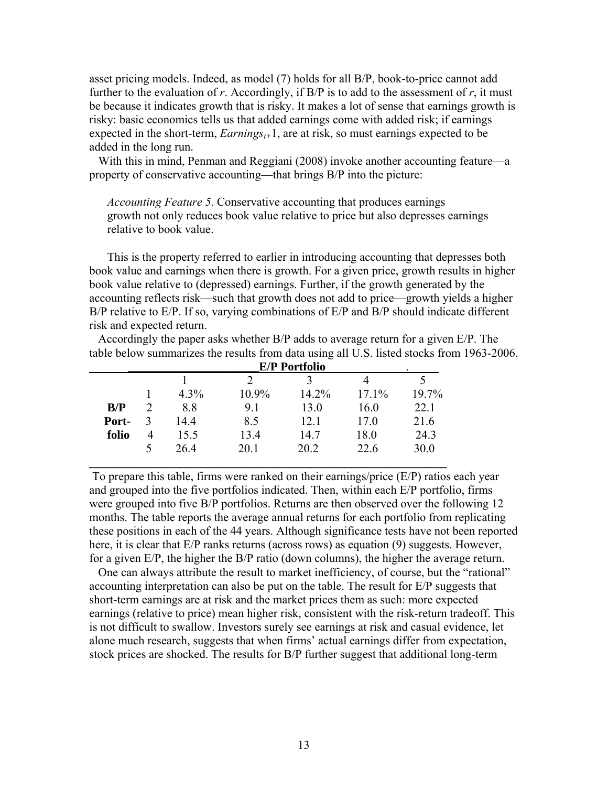asset pricing models. Indeed, as model (7) holds for all B/P, book-to-price cannot add further to the evaluation of *r*. Accordingly, if B/P is to add to the assessment of *r*, it must be because it indicates growth that is risky. It makes a lot of sense that earnings growth is risky: basic economics tells us that added earnings come with added risk; if earnings expected in the short-term,  $\mathit{Earnings}_{t+1}$ , are at risk, so must earnings expected to be added in the long run.

 With this in mind, Penman and Reggiani (2008) invoke another accounting feature—a property of conservative accounting—that brings B/P into the picture:

*Accounting Feature 5*. Conservative accounting that produces earnings growth not only reduces book value relative to price but also depresses earnings relative to book value.

This is the property referred to earlier in introducing accounting that depresses both book value and earnings when there is growth. For a given price, growth results in higher book value relative to (depressed) earnings. Further, if the growth generated by the accounting reflects risk—such that growth does not add to price—growth yields a higher B/P relative to E/P. If so, varying combinations of E/P and B/P should indicate different risk and expected return.

 Accordingly the paper asks whether B/P adds to average return for a given E/P. The table below summarizes the results from data using all U.S. listed stocks from 1963-2006.

|       |   | <b>E/P Portfolio</b> |       |       |       |       |
|-------|---|----------------------|-------|-------|-------|-------|
|       |   |                      |       |       |       |       |
|       |   | 4.3%                 | 10.9% | 14.2% | 17.1% | 19.7% |
| B/P   | 2 | 8.8                  | 9.1   | 13.0  | 16.0  | 22.1  |
| Port- | 3 | 14.4                 | 8.5   | 12.1  | 17.0  | 21.6  |
| folio | 4 | 15.5                 | 13.4  | 14.7  | 18.0  | 24.3  |
|       |   | 26.4                 | 20.1  | 20.2  | 22.6  | 30.0  |
|       |   |                      |       |       |       |       |

 To prepare this table, firms were ranked on their earnings/price (E/P) ratios each year and grouped into the five portfolios indicated. Then, within each E/P portfolio, firms were grouped into five B/P portfolios. Returns are then observed over the following 12 months. The table reports the average annual returns for each portfolio from replicating these positions in each of the 44 years. Although significance tests have not been reported here, it is clear that E/P ranks returns (across rows) as equation (9) suggests. However, for a given E/P, the higher the B/P ratio (down columns), the higher the average return.

 One can always attribute the result to market inefficiency, of course, but the "rational" accounting interpretation can also be put on the table. The result for E/P suggests that short-term earnings are at risk and the market prices them as such: more expected earnings (relative to price) mean higher risk, consistent with the risk-return tradeoff. This is not difficult to swallow. Investors surely see earnings at risk and casual evidence, let alone much research, suggests that when firms' actual earnings differ from expectation, stock prices are shocked. The results for B/P further suggest that additional long-term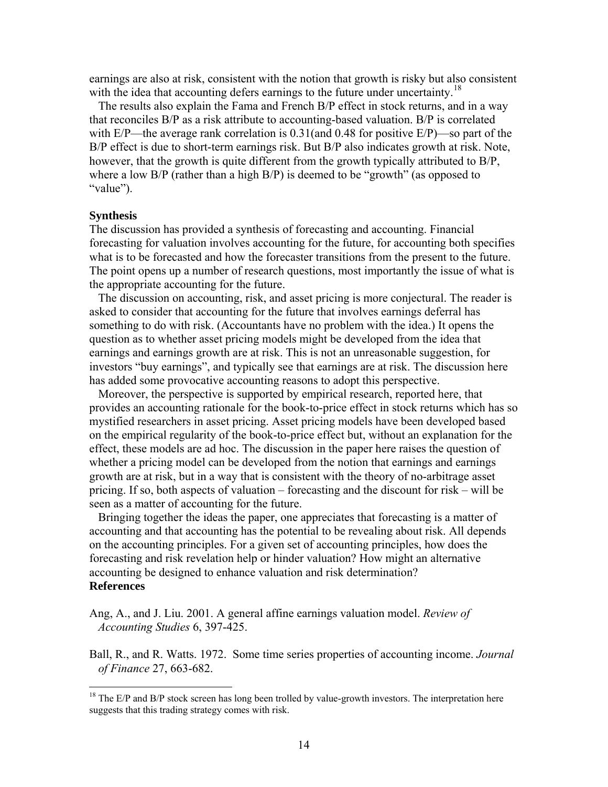earnings are also at risk, consistent with the notion that growth is risky but also consistent with the idea that accounting defers earnings to the future under uncertainty.<sup>[18](#page-14-0)</sup>

 The results also explain the Fama and French B/P effect in stock returns, and in a way that reconciles B/P as a risk attribute to accounting-based valuation. B/P is correlated with  $E/P$ —the average rank correlation is 0.31(and 0.48 for positive  $E/P$ )—so part of the B/P effect is due to short-term earnings risk. But B/P also indicates growth at risk. Note, however, that the growth is quite different from the growth typically attributed to B/P, where a low B/P (rather than a high B/P) is deemed to be "growth" (as opposed to "value").

### **Synthesis**

 $\overline{a}$ 

The discussion has provided a synthesis of forecasting and accounting. Financial forecasting for valuation involves accounting for the future, for accounting both specifies what is to be forecasted and how the forecaster transitions from the present to the future. The point opens up a number of research questions, most importantly the issue of what is the appropriate accounting for the future.

 The discussion on accounting, risk, and asset pricing is more conjectural. The reader is asked to consider that accounting for the future that involves earnings deferral has something to do with risk. (Accountants have no problem with the idea.) It opens the question as to whether asset pricing models might be developed from the idea that earnings and earnings growth are at risk. This is not an unreasonable suggestion, for investors "buy earnings", and typically see that earnings are at risk. The discussion here has added some provocative accounting reasons to adopt this perspective.

 Moreover, the perspective is supported by empirical research, reported here, that provides an accounting rationale for the book-to-price effect in stock returns which has so mystified researchers in asset pricing. Asset pricing models have been developed based on the empirical regularity of the book-to-price effect but, without an explanation for the effect, these models are ad hoc. The discussion in the paper here raises the question of whether a pricing model can be developed from the notion that earnings and earnings growth are at risk, but in a way that is consistent with the theory of no-arbitrage asset pricing. If so, both aspects of valuation – forecasting and the discount for risk – will be seen as a matter of accounting for the future.

 Bringing together the ideas the paper, one appreciates that forecasting is a matter of accounting and that accounting has the potential to be revealing about risk. All depends on the accounting principles. For a given set of accounting principles, how does the forecasting and risk revelation help or hinder valuation? How might an alternative accounting be designed to enhance valuation and risk determination? **References** 

Ang, A., and J. Liu. 2001. A general affine earnings valuation model. *Review of Accounting Studies* 6, 397-425.

Ball, R., and R. Watts. 1972. Some time series properties of accounting income. *Journal of Finance* 27, 663-682.

<span id="page-14-0"></span> $18$  The E/P and B/P stock screen has long been trolled by value-growth investors. The interpretation here suggests that this trading strategy comes with risk.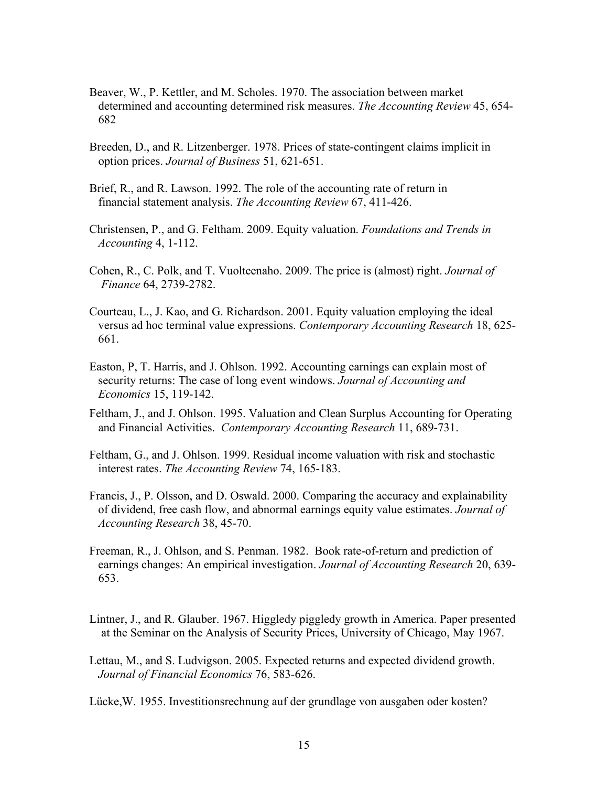- Beaver, W., P. Kettler, and M. Scholes. 1970. The association between market determined and accounting determined risk measures. *The Accounting Review* 45, 654- 682
- Breeden, D., and R. Litzenberger. 1978. Prices of state-contingent claims implicit in option prices. *Journal of Business* 51, 621-651.
- Brief, R., and R. Lawson. 1992. The role of the accounting rate of return in financial statement analysis. *The Accounting Review* 67, 411-426.
- Christensen, P., and G. Feltham. 2009. Equity valuation. *Foundations and Trends in Accounting* 4, 1-112.
- Cohen, R., C. Polk, and T. Vuolteenaho. 2009. The price is (almost) right. *Journal of Finance* 64, 2739-2782.
- Courteau, L., J. Kao, and G. Richardson. 2001. Equity valuation employing the ideal versus ad hoc terminal value expressions. *Contemporary Accounting Research* 18, 625- 661.
- Easton, P, T. Harris, and J. Ohlson. 1992. Accounting earnings can explain most of security returns: The case of long event windows. *Journal of Accounting and Economics* 15, 119-142.
- Feltham, J., and J. Ohlson. 1995. Valuation and Clean Surplus Accounting for Operating and Financial Activities. *Contemporary Accounting Research* 11, 689-731.
- Feltham, G., and J. Ohlson. 1999. Residual income valuation with risk and stochastic interest rates. *The Accounting Review* 74, 165-183.
- Francis, J., P. Olsson, and D. Oswald. 2000. Comparing the accuracy and explainability of dividend, free cash flow, and abnormal earnings equity value estimates. *Journal of Accounting Research* 38, 45-70.
- Freeman, R., J. Ohlson, and S. Penman. 1982. Book rate-of-return and prediction of earnings changes: An empirical investigation. *Journal of Accounting Research* 20, 639- 653.
- Lintner, J., and R. Glauber. 1967. Higgledy piggledy growth in America. Paper presented at the Seminar on the Analysis of Security Prices, University of Chicago, May 1967.
- Lettau, M., and S. Ludvigson. 2005. Expected returns and expected dividend growth. *Journal of Financial Economics* 76, 583-626.

Lücke,W. 1955. Investitionsrechnung auf der grundlage von ausgaben oder kosten?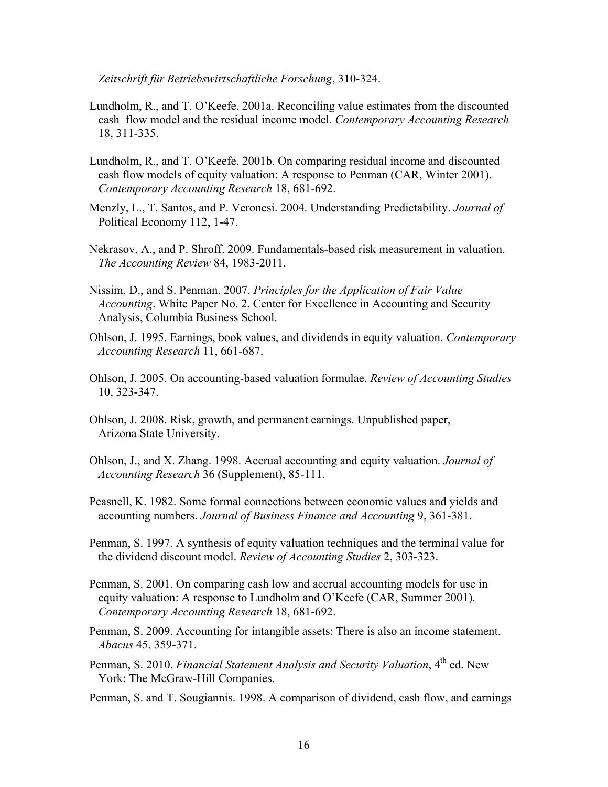*Zeitschrift für Betriebswirtschaftliche Forschung*, 310-324.

- Lundholm, R., and T. O'Keefe. 2001a. Reconciling value estimates from the discounted cash flow model and the residual income model. *Contemporary Accounting Research* 18, 311-335.
- Lundholm, R., and T. O'Keefe. 2001b. On comparing residual income and discounted cash flow models of equity valuation: A response to Penman (CAR, Winter 2001). *Contemporary Accounting Research* 18, 681-692.
- Menzly, L., T. Santos, and P. Veronesi. 2004. Understanding Predictability. *Journal of*  Political Economy 112, 1-47.
- Nekrasov, A., and P. Shroff. 2009. Fundamentals-based risk measurement in valuation. *The Accounting Review* 84, 1983-2011.
- Nissim, D., and S. Penman. 2007. *Principles for the Application of Fair Value Accounting*. White Paper No. 2, Center for Excellence in Accounting and Security Analysis, Columbia Business School.
- Ohlson, J. 1995. Earnings, book values, and dividends in equity valuation. *Contemporary Accounting Research* 11, 661-687.
- Ohlson, J. 2005. On accounting-based valuation formulae. *Review of Accounting Studies* 10, 323-347.
- Ohlson, J. 2008. Risk, growth, and permanent earnings. Unpublished paper, Arizona State University.
- Ohlson, J., and X. Zhang. 1998. Accrual accounting and equity valuation. *Journal of Accounting Research* 36 (Supplement), 85-111.
- Peasnell, K. 1982. Some formal connections between economic values and yields and accounting numbers. *Journal of Business Finance and Accounting* 9, 361-381.
- Penman, S. 1997. A synthesis of equity valuation techniques and the terminal value for the dividend discount model. *Review of Accounting Studies* 2, 303-323.
- Penman, S. 2001. On comparing cash low and accrual accounting models for use in equity valuation: A response to Lundholm and O'Keefe (CAR, Summer 2001). *Contemporary Accounting Research* 18, 681-692.
- Penman, S. 2009. Accounting for intangible assets: There is also an income statement. *Abacus* 45, 359-371.
- Penman, S. 2010. *Financial Statement Analysis and Security Valuation*, 4<sup>th</sup> ed. New York: The McGraw-Hill Companies.
- Penman, S. and T. Sougiannis. 1998. A comparison of dividend, cash flow, and earnings